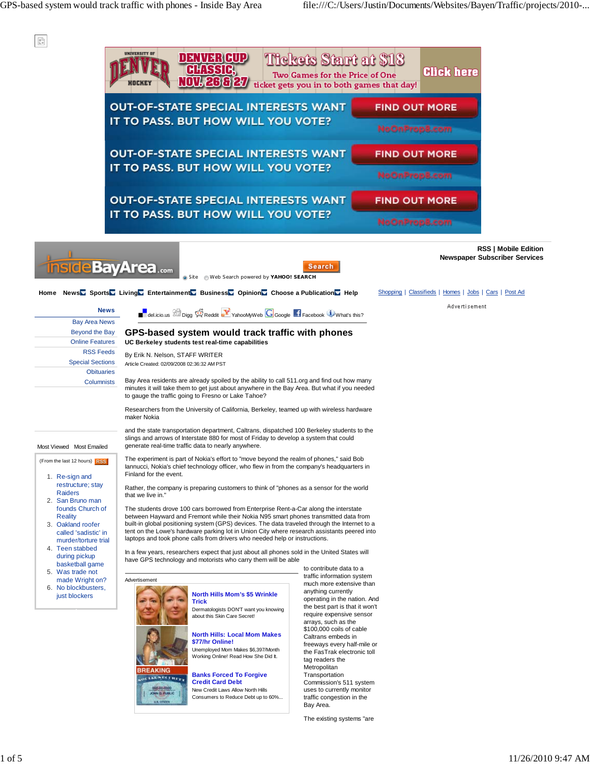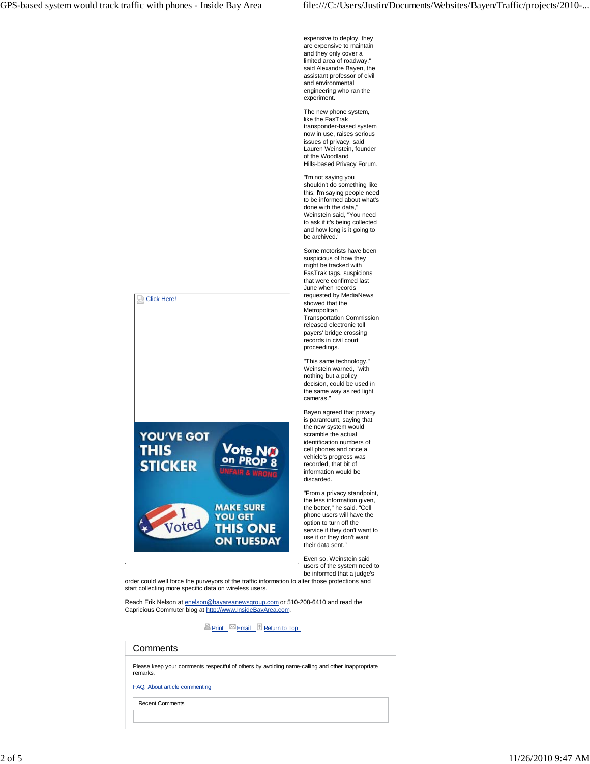expensive to deploy, they are expensive to maintain and they only cover a limited area of roadway, said Alexandre Bayen, the assistant professor of civil and environmental engineering who ran the experiment.

The new phone system, like the FasTrak transponder-based system now in use, raises serious issues of privacy, said Lauren Weinstein, founder of the Woodland Hills-based Privacy Forum.

"I'm not saying you shouldn't do something like this, I'm saying people need to be informed about what's done with the data," Weinstein said, "You need to ask if it's being collected and how long is it going to be archived."

Some motorists have been suspicious of how they might be tracked with FasTrak tags, suspicions that were confirmed last June when records requested by MediaNews showed that the Metropolitan Transportation Commission released electronic toll payers' bridge crossing records in civil court proceedings.

"This same technology," Weinstein warned, "with nothing but a policy decision, could be used in the same way as red light cameras."

Bayen agreed that privacy is paramount, saying that the new system would scramble the actual identification numbers of cell phones and once a vehicle's progress was recorded, that bit of information would be discarded.

"From a privacy standpoint, the less information given, the better," he said. "Cell phone users will have the option to turn off the service if they don't want to use it or they don't want their data sent."

Even so, Weinstein said users of the system need to be informed that a judge's

order could well force the purveyors of the traffic information to alter those protections and start collecting more specific data on wireless users.

Vote N

**MAKE SURE YOU GET** 

**THIS ONE ON TUESDAY** 

Reach Erik Nelson at enelson@bayareanewsgroup.com or 510-208-6410 and read the Capricious Commuter blog at http://www.InsideBayArea.com.

**Print Email Return to Top** 

## **Comments**

Please keep your comments respectful of others by avoiding name-calling and other inappropriate remarks.

FAQ: About article commenting

Recent Comments

## **STICKER** Voted

Click Here!

**YOU'VE GOT** 

**THIS**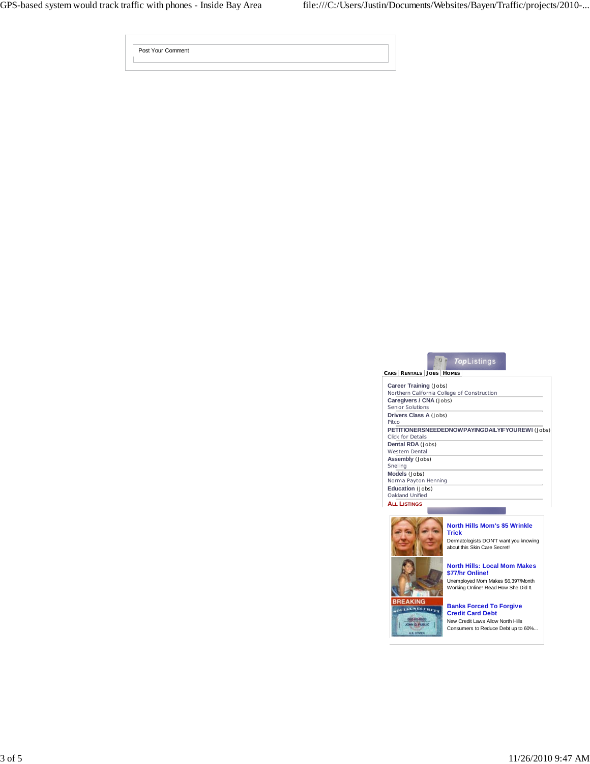| Post Your Comment |  |
|-------------------|--|
|                   |  |

| <b>TopListings</b>                                                           |
|------------------------------------------------------------------------------|
| CARS RENTALS JOBS<br><b>HOMES</b>                                            |
| <b>Career Training (Jobs)</b><br>Northern California College of Construction |
| Caregivers / CNA (Jobs)<br>Senior Solutions                                  |
| <b>Drivers Class A (Jobs)</b><br>Pitco                                       |
| PETITIONERSNEEDEDNOWPAYINGDAILYIFYOUREWI (Jobs)<br>Click for Details         |
| Dental RDA (Jobs)<br><b>Western Dental</b>                                   |
| Assembly (Jobs)<br>Snelling                                                  |
| Models (Jobs)<br>Norma Payton Henning                                        |
| <b>Education</b> (Jobs)<br>Oakland Unified                                   |
| <b>ALL LISTINGS</b>                                                          |
|                                                                              |



**BREAKI** OLIALNELTHET 



Dermatologists DON'T want you knowing about this Skin Care Secret!

## **North Hills: Local Mom Makes \$77/hr Online!**

Unemployed Mom Makes \$6,397/Month Working Online! Read How She Did It.

## **Banks Forced To Forgive Credit Card Debt**

New Credit Laws Allow North Hills Consumers to Reduce Debt up to 60%...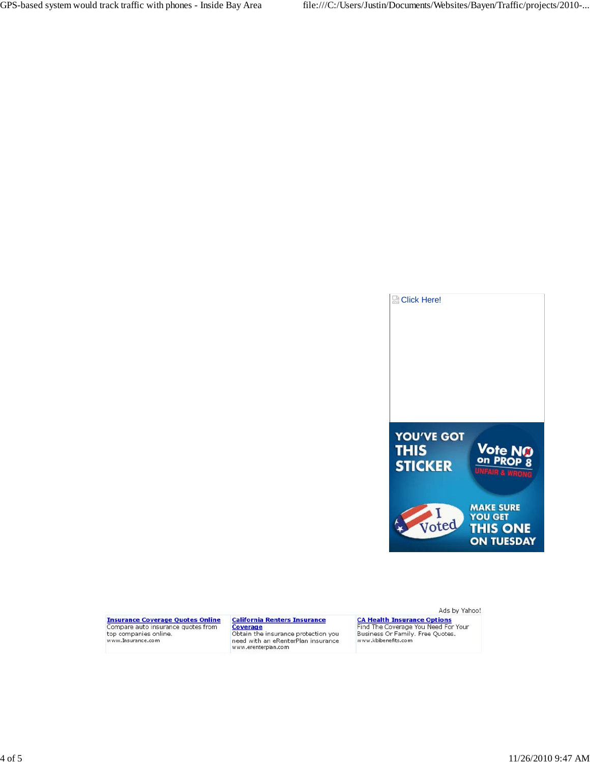

**Insurance Coverage Quotes Online**<br>Compare auto insurance quotes from top companies online.<br>www.Insurance.com

**California Renters Insurance**<br> **Coverage**<br>
Obtain the insurance protection you<br>
need with an eRenterPlan insurance<br>
www.erenterplan.com

Ads by Yahoo!

CA Health Insurance Options<br>Find The Coverage You Need For Your<br>Business Or Family. Free Quotes.<br>www.kbibenefits.com